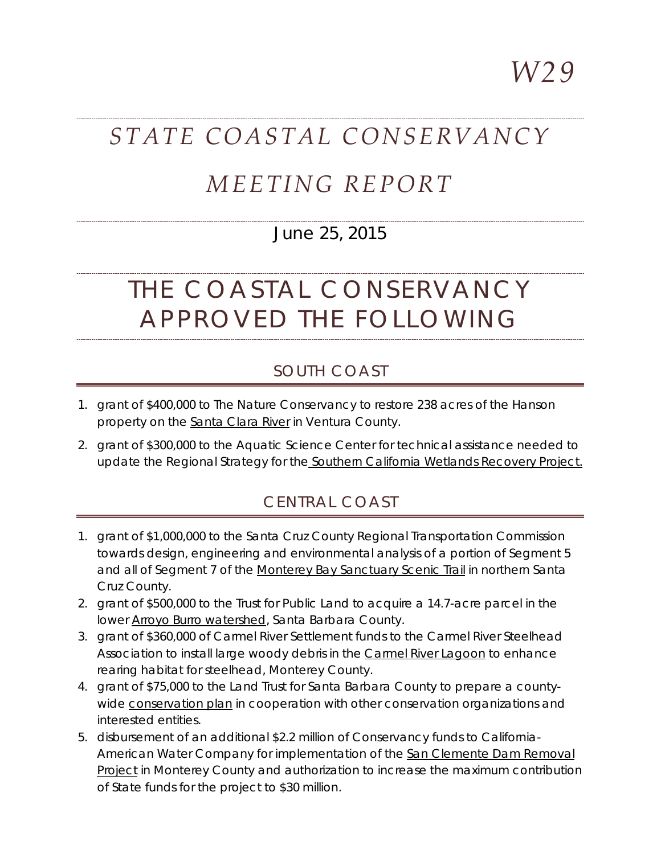*W29*

# *STATE COASTAL CONSERVANCY*

## *MEETING REPORT*

### June 25, 2015

# THE COASTAL CONSERVANCY APPROVED THE FOLLOWING

#### SOUTH COAST

- 1. grant of \$400,000 to The Nature Conservancy to restore 238 acres of the Hanson property on the Santa Clara River in Ventura County.
- 2. grant of \$300,000 to the Aquatic Science Center for technical assistance needed to update the Regional Strategy for the Southern California Wetlands Recovery Project.

#### CENTRAL COAST

- 1. grant of \$1,000,000 to the Santa Cruz County Regional Transportation Commission towards design, engineering and environmental analysis of a portion of Segment 5 and all of Segment 7 of the Monterey Bay Sanctuary Scenic Trail in northern Santa Cruz County.
- 2. grant of \$500,000 to the Trust for Public Land to acquire a 14.7-acre parcel in the lower **Arroyo Burro watershed**, Santa Barbara County.
- 3. grant of \$360,000 of Carmel River Settlement funds to the Carmel River Steelhead Association to install large woody debris in the Carmel River Lagoon to enhance rearing habitat for steelhead, Monterey County.
- 4. grant of \$75,000 to the Land Trust for Santa Barbara County to prepare a countywide conservation plan in cooperation with other conservation organizations and interested entities.
- 5. disbursement of an additional \$2.2 million of Conservancy funds to California-American Water Company for implementation of the San Clemente Dam Removal Project in Monterey County and authorization to increase the maximum contribution of State funds for the project to \$30 million.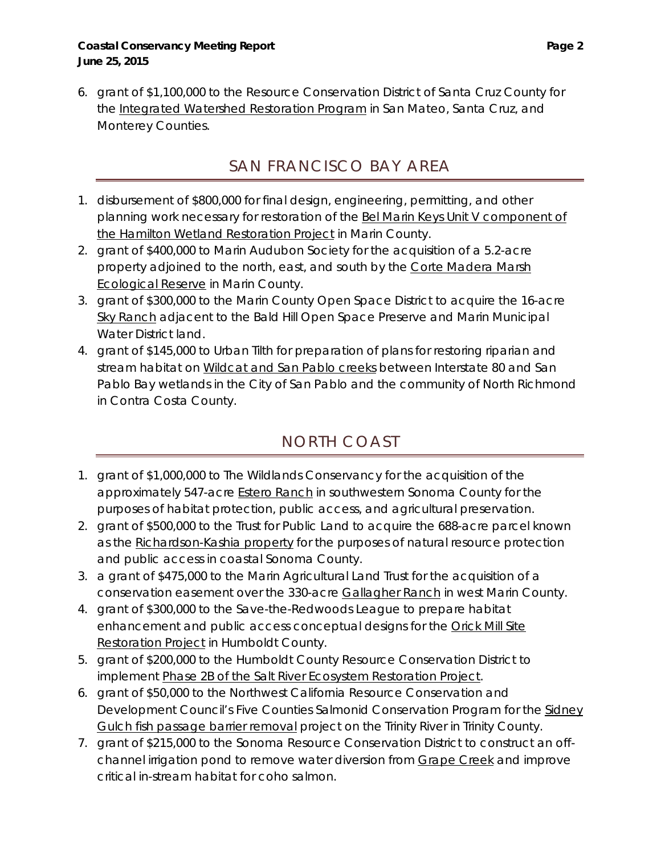6. grant of \$1,100,000 to the Resource Conservation District of Santa Cruz County for the Integrated Watershed Restoration Program in San Mateo, Santa Cruz, and Monterey Counties.

## SAN FRANCISCO BAY AREA

- 1. disbursement of \$800,000 for final design, engineering, permitting, and other planning work necessary for restoration of the Bel Marin Keys Unit V component of the Hamilton Wetland Restoration Project in Marin County.
- 2. grant of \$400,000 to Marin Audubon Society for the acquisition of a 5.2-acre property adjoined to the north, east, and south by the Corte Madera Marsh **Ecological Reserve in Marin County.**
- 3. grant of \$300,000 to the Marin County Open Space District to acquire the 16-acre Sky Ranch adjacent to the Bald Hill Open Space Preserve and Marin Municipal Water District land.
- 4. grant of \$145,000 to Urban Tilth for preparation of plans for restoring riparian and stream habitat on Wildcat and San Pablo creeks between Interstate 80 and San Pablo Bay wetlands in the City of San Pablo and the community of North Richmond in Contra Costa County.

## NORTH COAST

- 1. grant of \$1,000,000 to The Wildlands Conservancy for the acquisition of the approximately 547-acre Estero Ranch in southwestern Sonoma County for the purposes of habitat protection, public access, and agricultural preservation.
- 2. grant of \$500,000 to the Trust for Public Land to acquire the 688-acre parcel known as the Richardson-Kashia property for the purposes of natural resource protection and public access in coastal Sonoma County.
- 3. a grant of \$475,000 to the Marin Agricultural Land Trust for the acquisition of a conservation easement over the 330-acre Gallagher Ranch in west Marin County.
- 4. grant of \$300,000 to the Save-the-Redwoods League to prepare habitat enhancement and public access conceptual designs for the Orick Mill Site Restoration Project in Humboldt County.
- 5. grant of \$200,000 to the Humboldt County Resource Conservation District to implement Phase 2B of the Salt River Ecosystem Restoration Project.
- 6. grant of \$50,000 to the Northwest California Resource Conservation and Development Council's Five Counties Salmonid Conservation Program for the Sidney Gulch fish passage barrier removal project on the Trinity River in Trinity County.
- 7. grant of \$215,000 to the Sonoma Resource Conservation District to construct an offchannel irrigation pond to remove water diversion from Grape Creek and improve critical in-stream habitat for coho salmon.